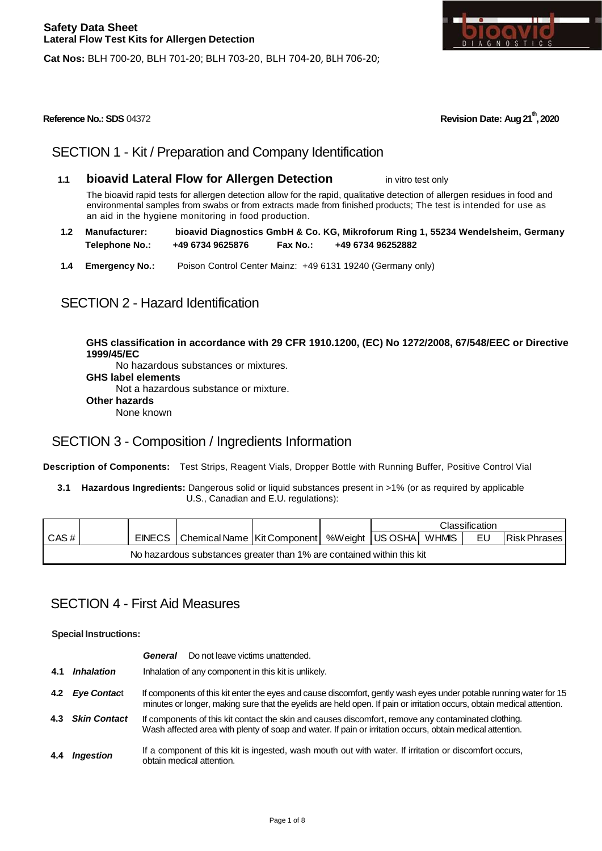



## SECTION 1 - Kit / Preparation and Company Identification

**1.1 bioavid Lateral Flow for Allergen Detection** in vitro test only

The bioavid rapid tests for allergen detection allow for the rapid, qualitative detection of allergen residues in food and environmental samples from swabs or from extracts made from finished products; The test is intended for use as an aid in the hygiene monitoring in food production.

- **1.2 Manufacturer: bioavid Diagnostics GmbH & Co. KG, Mikroforum Ring 1, 55234 Wendelsheim, Germany Telephone No.: +49 6734 9625876 Fax No.: +49 6734 96252882**
- **1.4 Emergency No.:** Poison Control Center Mainz: +49 6131 19240 (Germany only)

## SECTION 2 - Hazard Identification

**GHS classification in accordance with 29 CFR 1910.1200, (EC) No 1272/2008, 67/548/EEC or Directive 1999/45/EC**

No hazardous substances or mixtures. **GHS label elements**  Not a hazardous substance or mixture.

**Other hazards** 

None known

## SECTION 3 - Composition / Ingredients Information

**Description of Components:** Test Strips, Reagent Vials, Dropper Bottle with Running Buffer, Positive Control Vial

**3.1 Hazardous Ingredients:** Dangerous solid or liquid substances present in >1% (or as required by applicable U.S., Canadian and E.U. regulations):

|                                                                       |  |  |                                                                    |  |  | Classification |  |    |                      |
|-----------------------------------------------------------------------|--|--|--------------------------------------------------------------------|--|--|----------------|--|----|----------------------|
| CAS#                                                                  |  |  | EINECS   Chemical Name   Kit Component   %Weight   US OSHA   WHMIS |  |  |                |  | EU | <b>IRisk Phrases</b> |
| No hazardous substances greater than 1% are contained within this kit |  |  |                                                                    |  |  |                |  |    |                      |

## SECTION 4 - First Aid Measures

**Special Instructions:**

|     |                          | Do not leave victims unattended.<br>General                                                                                                                                                                                                  |
|-----|--------------------------|----------------------------------------------------------------------------------------------------------------------------------------------------------------------------------------------------------------------------------------------|
| 4.1 | <i><b>Inhalation</b></i> | Inhalation of any component in this kit is unlikely.                                                                                                                                                                                         |
|     | 4.2 Eye Contact          | If components of this kit enter the eyes and cause discomfort, gently wash eyes under potable running water for 15<br>minutes or longer, making sure that the eyelids are held open. If pain or irritation occurs, obtain medical attention. |
| 4.3 | <b>Skin Contact</b>      | If components of this kit contact the skin and causes discomfort, remove any contaminated clothing.<br>Wash affected area with plenty of soap and water. If pain or irritation occurs, obtain medical attention.                             |
| 4.4 | Inaestion                | If a component of this kit is ingested, wash mouth out with water. If irritation or discomfort occurs,<br>obtain medical attention.                                                                                                          |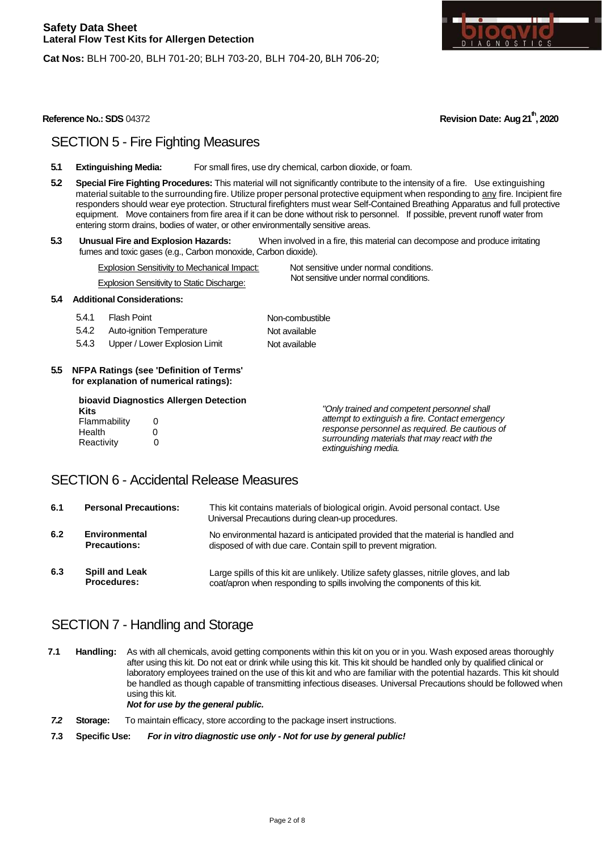



## SECTION 5 - Fire Fighting Measures

- **5.1 Extinguishing Media:** For small fires, use dry chemical, carbon dioxide, or foam.
- **5.2 Special Fire Fighting Procedures:** This material will not significantly contribute to the intensity of a fire. Use extinguishing material suitable to the surrounding fire. Utilize proper personal protective equipment when responding to any fire. Incipient fire responders should wear eye protection. Structural firefighters must wear Self-Contained Breathing Apparatus and full protective equipment. Move containers from fire area if it can be done without risk to personnel. If possible, prevent runoff water from entering storm drains, bodies of water, or other environmentally sensitive areas.
- **5.3 Unusual Fire and Explosion Hazards:** When involved in a fire, this material can decompose and produce irritating fumes and toxic gases (e.g., Carbon monoxide, Carbon dioxide).

Explosion Sensitivity to Mechanical Impact: Not sensitive under normal conditions.

Not sensitive under normal conditions.

Explosion Sensitivity to Static Discharge:

#### **5.4 Additional Considerations:**

- 5.4.1 Flash Point
- 5.4.2 Auto-ignition Temperature 5.4.3 Upper / Lower Explosion Limit Non-combustible Not available Not available
- **5.5 NFPA Ratings (see 'Definition of Terms' for explanation of numerical ratings):**

|              | bioavid Diagnostics Allergen Detection |                                                                       |
|--------------|----------------------------------------|-----------------------------------------------------------------------|
| Kits         |                                        | "Only trained and competent personnel shall                           |
| Flammability |                                        | attempt to extinguish a fire. Contact emergency                       |
| Health       |                                        | response personnel as required. Be cautious of                        |
| Reactivity   |                                        | surrounding materials that may react with the<br>extinguishing media. |

## SECTION 6 - Accidental Release Measures

| 6.1 | <b>Personal Precautions:</b>                | This kit contains materials of biological origin. Avoid personal contact. Use<br>Universal Precautions during clean-up procedures.                                   |
|-----|---------------------------------------------|----------------------------------------------------------------------------------------------------------------------------------------------------------------------|
| 6.2 | Environmental<br><b>Precautions:</b>        | No environmental hazard is anticipated provided that the material is handled and<br>disposed of with due care. Contain spill to prevent migration.                   |
| 6.3 | <b>Spill and Leak</b><br><b>Procedures:</b> | Large spills of this kit are unlikely. Utilize safety glasses, nitrile gloves, and lab<br>coat/apron when responding to spills involving the components of this kit. |

## SECTION 7 - Handling and Storage

**7.1 Handling:** As with all chemicals, avoid getting components within this kit on you or in you. Wash exposed areas thoroughly after using this kit. Do not eat or drink while using this kit. This kit should be handled only by qualified clinical or laboratory employees trained on the use of this kit and who are familiar with the potential hazards. This kit should be handled as though capable of transmitting infectious diseases. Universal Precautions should be followed when using this kit. *Not for use by the general public.*

*7.2* **Storage:** To maintain efficacy, store according to the package insert instructions.

**7.3 Specific Use:** *For in vitro diagnostic use only - Not for use by general public!*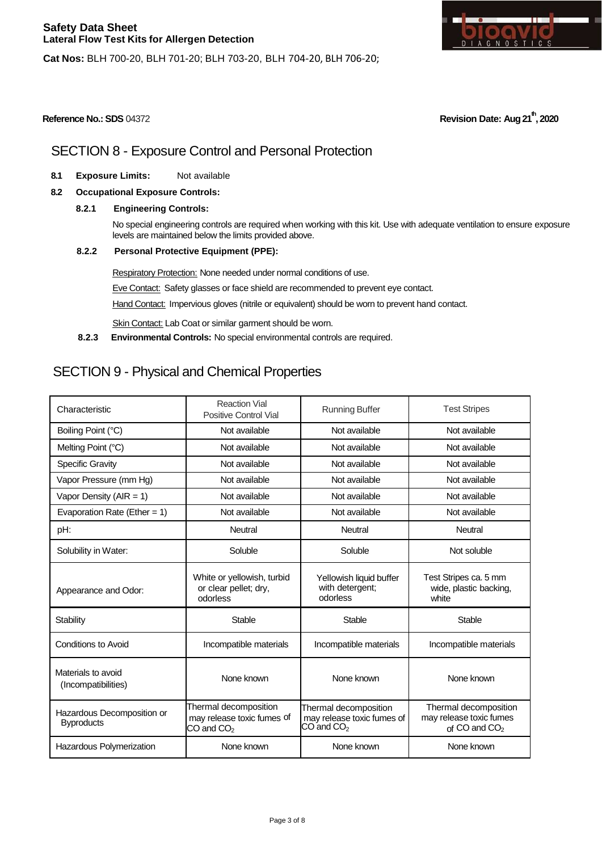

**Cat Nos:** BLH 700-20, BLH 701-20; BLH 703-20, BLH 704-20, BLH 706-20;

**Reference No.: SDS** 04372 **Revision Date: Aug 21th, 2020**

# SECTION 8 - Exposure Control and Personal Protection

- **8.1 Exposure Limits:** Not available
- **8.2 Occupational Exposure Controls:**
	- **8.2.1 Engineering Controls:**

No special engineering controls are required when working with this kit. Use with adequate ventilation to ensure exposure levels are maintained below the limits provided above.

**8.2.2 Personal Protective Equipment (PPE):**

Respiratory Protection: None needed under normal conditions of use.

Eve Contact: Safety glasses or face shield are recommended to prevent eye contact.

Hand Contact: Impervious gloves (nitrile or equivalent) should be worn to prevent hand contact.

Skin Contact: Lab Coat or similar garment should be worn.

**8.2.3 Environmental Controls:** No special environmental controls are required.

# SECTION 9 - Physical and Chemical Properties

| Characteristic                                  | <b>Reaction Vial</b><br>Positive Control Vial                         | <b>Running Buffer</b>                                                 | <b>Test Stripes</b>                                                 |
|-------------------------------------------------|-----------------------------------------------------------------------|-----------------------------------------------------------------------|---------------------------------------------------------------------|
| Boiling Point (°C)                              | Not available                                                         | Not available                                                         | Not available                                                       |
| Melting Point (°C)                              | Not available                                                         | Not available                                                         | Not available                                                       |
| <b>Specific Gravity</b>                         | Not available                                                         | Not available                                                         | Not available                                                       |
| Vapor Pressure (mm Hg)                          | Not available                                                         | Not available                                                         | Not available                                                       |
| Vapor Density ( $AIR = 1$ )                     | Not available                                                         | Not available                                                         | Not available                                                       |
| Evaporation Rate (Ether = $1$ )                 | Not available                                                         | Not available                                                         | Not available                                                       |
| pH:                                             | <b>Neutral</b>                                                        | <b>Neutral</b>                                                        | Neutral                                                             |
| Solubility in Water:                            | Soluble                                                               | Soluble                                                               | Not soluble                                                         |
| Appearance and Odor:                            | White or yellowish, turbid<br>or clear pellet; dry,<br>odorless       | Yellowish liquid buffer<br>with detergent;<br>odorless                | Test Stripes ca. 5 mm<br>wide, plastic backing,<br>white            |
| Stability                                       | Stable                                                                | <b>Stable</b>                                                         | Stable                                                              |
| Conditions to Avoid                             | Incompatible materials                                                | Incompatible materials                                                | Incompatible materials                                              |
| Materials to avoid<br>(Incompatibilities)       | None known                                                            | None known                                                            | None known                                                          |
| Hazardous Decomposition or<br><b>Byproducts</b> | Thermal decomposition<br>may release toxic fumes of<br>$CO$ and $CO2$ | Thermal decomposition<br>may release toxic fumes of<br>$CO$ and $CO2$ | Thermal decomposition<br>may release toxic fumes<br>of CO and $CO2$ |
| Hazardous Polymerization                        | None known                                                            | None known                                                            | None known                                                          |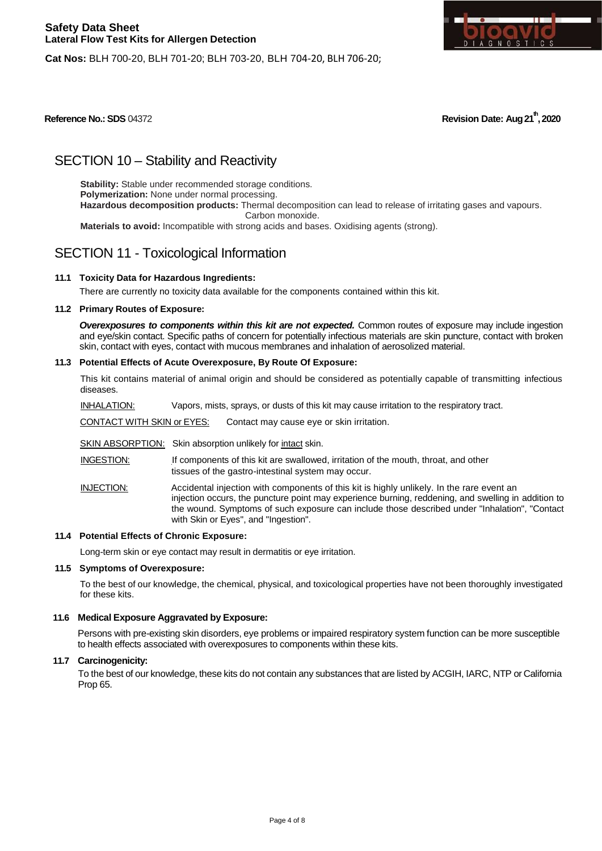

**Cat Nos:** BLH 700-20, BLH 701-20; BLH 703-20, BLH 704-20, BLH 706-20;

**Reference No.: SDS** 04372 **Revision Date: Aug 21th, 2020**

# SECTION 10 – Stability and Reactivity

**Stability:** Stable under recommended storage conditions. **Polymerization:** None under normal processing. **Hazardous decomposition products:** Thermal decomposition can lead to release of irritating gases and vapours. Carbon monoxide. **Materials to avoid:** Incompatible with strong acids and bases. Oxidising agents (strong).

## SECTION 11 - Toxicological Information

## **11.1 Toxicity Data for Hazardous Ingredients:**

There are currently no toxicity data available for the components contained within this kit.

#### **11.2 Primary Routes of Exposure:**

*Overexposures to components within this kit are not expected.* Common routes of exposure may include ingestion and eye/skin contact. Specific paths of concern for potentially infectious materials are skin puncture, contact with broken skin, contact with eyes, contact with mucous membranes and inhalation of aerosolized material.

#### **11.3 Potential Effects of Acute Overexposure, By Route Of Exposure:**

This kit contains material of animal origin and should be considered as potentially capable of transmitting infectious diseases.

INHALATION: Vapors, mists, sprays, or dusts of this kit may cause irritation to the respiratory tract.

CONTACT WITH SKIN or EYES: Contact may cause eye or skin irritation.

SKIN ABSORPTION: Skin absorption unlikely for intact skin.

INGESTION: If components of this kit are swallowed, irritation of the mouth, throat, and other tissues of the gastro-intestinal system may occur.

INJECTION: Accidental injection with components of this kit is highly unlikely. In the rare event an injection occurs, the puncture point may experience burning, reddening, and swelling in addition to the wound. Symptoms of such exposure can include those described under "Inhalation", "Contact with Skin or Eyes", and "Ingestion".

#### **11.4 Potential Effects of Chronic Exposure:**

Long-term skin or eye contact may result in dermatitis or eye irritation.

#### **11.5 Symptoms of Overexposure:**

To the best of our knowledge, the chemical, physical, and toxicological properties have not been thoroughly investigated for these kits.

#### **11.6 Medical Exposure Aggravated by Exposure:**

Persons with pre-existing skin disorders, eye problems or impaired respiratory system function can be more susceptible to health effects associated with overexposures to components within these kits.

### **11.7 Carcinogenicity:**

To the best of our knowledge, these kits do not contain any substances that are listed by ACGIH, IARC, NTP or California Prop 65.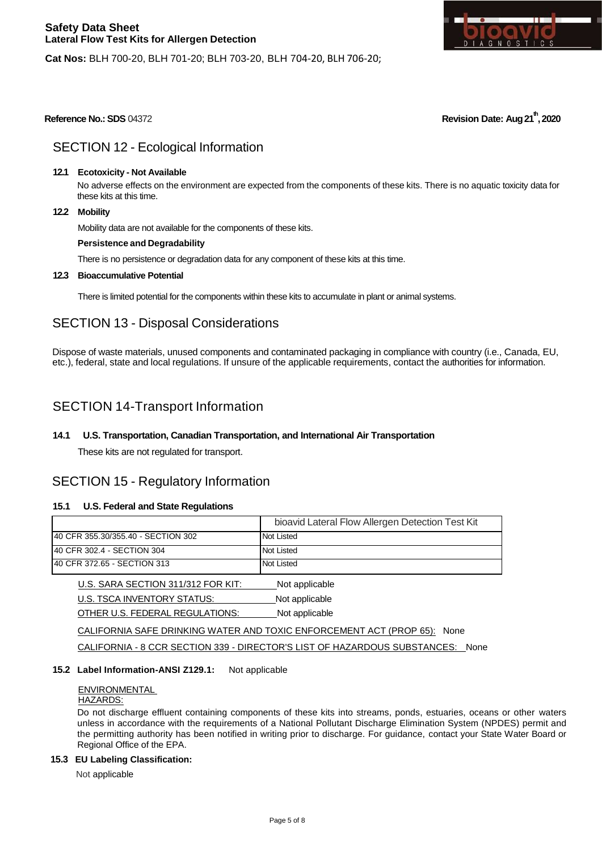

**Cat Nos:** BLH 700-20, BLH 701-20; BLH 703-20, BLH 704-20, BLH 706-20;

**Reference No.: SDS** 04372 **Revision Date: Aug 21th, 2020**

## SECTION 12 - Ecological Information

#### **12.1 Ecotoxicity - Not Available**

No adverse effects on the environment are expected from the components of these kits. There is no aquatic toxicity data for these kits at this time.

#### **12.2 Mobility**

Mobility data are not available for the components of these kits.

#### **Persistence and Degradability**

There is no persistence or degradation data for any component of these kits at this time.

#### **12.3 Bioaccumulative Potential**

There is limited potential for the components within these kits to accumulate in plant or animal systems.

## SECTION 13 - Disposal Considerations

Dispose of waste materials, unused components and contaminated packaging in compliance with country (i.e., Canada, EU, etc.), federal, state and local regulations. If unsure of the applicable requirements, contact the authorities for information.

## SECTION 14-Transport Information

## **14.1 U.S. Transportation, Canadian Transportation, and International Air Transportation**

These kits are not regulated for transport.

## SECTION 15 - Regulatory Information

#### **15.1 U.S. Federal and State Regulations**

|                                     | bioavid Lateral Flow Allergen Detection Test Kit |
|-------------------------------------|--------------------------------------------------|
| 140 CFR 355.30/355.40 - SECTION 302 | Not Listed                                       |
| 40 CFR 302.4 - SECTION 304          | Not Listed                                       |
| 140 CFR 372.65 - SECTION 313        | Not Listed                                       |

| U.S. SARA SECTION 311/312 FOR KIT: | Not applicable |
|------------------------------------|----------------|
| U.S. TSCA INVENTORY STATUS:        | Not applicable |
| OTHER U.S. FEDERAL REGULATIONS:    | Not applicable |

CALIFORNIA SAFE DRINKING WATER AND TOXIC ENFORCEMENT ACT (PROP 65): None

CALIFORNIA - 8 CCR SECTION 339 - DIRECTOR'S LIST OF HAZARDOUS SUBSTANCES: None

### **15.2 Label Information-ANSI Z129.1:** Not applicable

## ENVIRONMENTAL

## HAZARDS:

Do not discharge effluent containing components of these kits into streams, ponds, estuaries, oceans or other waters unless in accordance with the requirements of a National Pollutant Discharge Elimination System (NPDES) permit and the permitting authority has been notified in writing prior to discharge. For guidance, contact your State Water Board or Regional Office of the EPA.

#### **15.3 EU Labeling Classification:**

Not applicable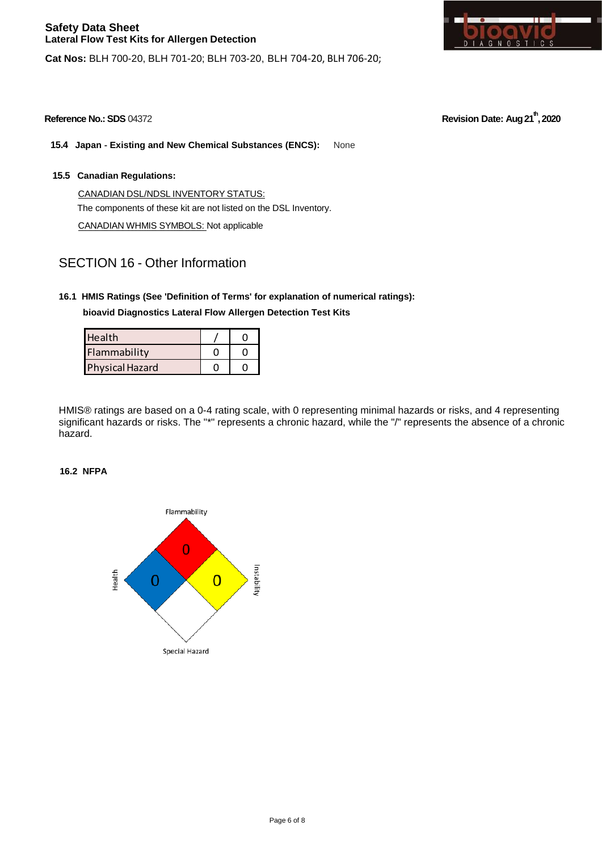π п. GNOS  $T + C$ **S** 

**15.4 Japan - Existing and New Chemical Substances (ENCS):** None

**Cat Nos:** BLH 700-20, BLH 701-20; BLH 703-20, BLH 704-20, BLH 706-20;

**15.5 Canadian Regulations:**

CANADIAN DSL/NDSL INVENTORY STATUS: The components of these kit are not listed on the DSL Inventory. CANADIAN WHMIS SYMBOLS: Not applicable

## SECTION 16 - Other Information

## **16.1 HMIS Ratings (See 'Definition of Terms' for explanation of numerical ratings): bioavid Diagnostics Lateral Flow Allergen Detection Test Kits**

| <b>Health</b>          |  |
|------------------------|--|
| Flammability           |  |
| <b>Physical Hazard</b> |  |

HMIS® ratings are based on a 0-4 rating scale, with 0 representing minimal hazards or risks, and 4 representing significant hazards or risks. The "\*" represents a chronic hazard, while the "/" represents the absence of a chronic hazard.

## **16.2 NFPA**



**Reference No.: SDS** 04372 **Revision Date: Aug 21th, 2020**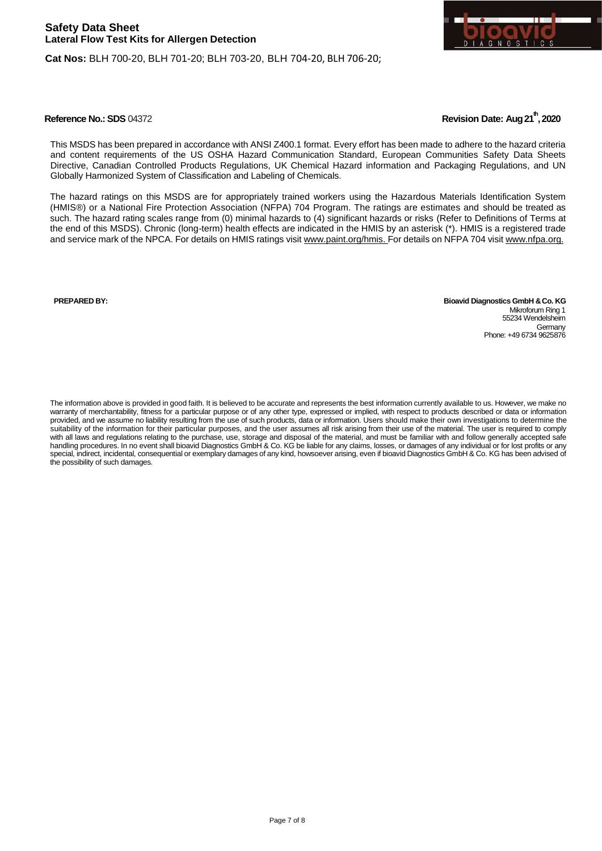



This MSDS has been prepared in accordance with ANSI Z400.1 format. Every effort has been made to adhere to the hazard criteria and content requirements of the US OSHA Hazard Communication Standard, European Communities Safety Data Sheets Directive, Canadian Controlled Products Regulations, UK Chemical Hazard information and Packaging Regulations, and UN Globally Harmonized System of Classification and Labeling of Chemicals.

The hazard ratings on this MSDS are for appropriately trained workers using the Hazardous Materials Identification System (HMIS®) or a National Fire Protection Association (NFPA) 704 Program. The ratings are estimates and should be treated as such. The hazard rating scales range from (0) minimal hazards to (4) significant hazards or risks (Refer to Definitions of Terms at the end of this MSDS). Chronic (long-term) health effects are indicated in the HMIS by an asterisk (\*). HMIS is a registered trade and service mark of the NPCA. For details on HMIS ratings visit [www.paint.org/hmis.](http://www.paint.org/hmis) For details on NFPA 704 visit [www.nfpa.org.](http://www.nfpa.org/)

**PREPARED BY: Bioavid Diagnostics GmbH &Co. KG** Mikroforum Ring 1 55234 Wendelsheim **Germany** Phone: +49 6734 9625876

The information above is provided in good faith. It is believed to be accurate and represents the best information currently available to us. However, we make no warranty of merchantability, fitness for a particular purpose or of any other type, expressed or implied, with respect to products described or data or information provided, and we assume no liability resulting from the use of such products, data or information. Users should make their own investigations to determine the suitability of the information for their particular purposes, and the user assumes all risk arising from their use of the material. The user is required to comply with all laws and regulations relating to the purchase, use, storage and disposal of the material, and must be familiar with and follow generally accepted safe handling procedures. In no event shall bioavid Diagnostics GmbH & Co. KG be liable for any claims, losses, or damages of any individual or for lost profits or any special, indirect, incidental, consequential or exemplary damages of any kind, howsoever arising, even if bioavid Diagnostics GmbH & Co. KG has been advised of the possibility of such damages.